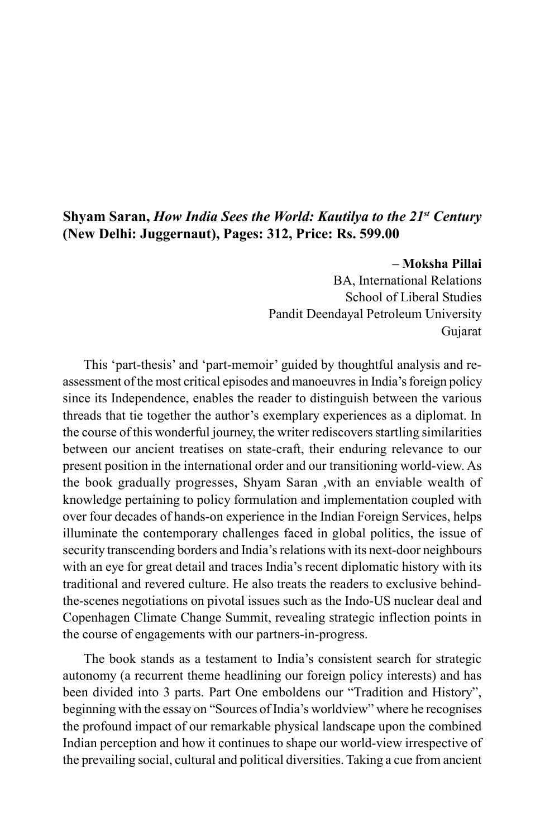## **Shyam Saran,** *How India Sees the World: Kautilya to the 21st Century* **(New Delhi: Juggernaut), Pages: 312, Price: Rs. 599.00**

## **– Moksha Pillai**

BA, International Relations School of Liberal Studies Pandit Deendayal Petroleum University Gujarat

This 'part-thesis' and 'part-memoir' guided by thoughtful analysis and reassessment of the most critical episodes and manoeuvres in India's foreign policy since its Independence, enables the reader to distinguish between the various threads that tie together the author's exemplary experiences as a diplomat. In the course of this wonderful journey, the writer rediscovers startling similarities between our ancient treatises on state-craft, their enduring relevance to our present position in the international order and our transitioning world-view. As the book gradually progresses, Shyam Saran ,with an enviable wealth of knowledge pertaining to policy formulation and implementation coupled with over four decades of hands-on experience in the Indian Foreign Services, helps illuminate the contemporary challenges faced in global politics, the issue of security transcending borders and India's relations with its next-door neighbours with an eye for great detail and traces India's recent diplomatic history with its traditional and revered culture. He also treats the readers to exclusive behindthe-scenes negotiations on pivotal issues such as the Indo-US nuclear deal and Copenhagen Climate Change Summit, revealing strategic inflection points in the course of engagements with our partners-in-progress.

The book stands as a testament to India's consistent search for strategic autonomy (a recurrent theme headlining our foreign policy interests) and has been divided into 3 parts. Part One emboldens our "Tradition and History", beginning with the essay on "Sources of India's worldview" where he recognises the profound impact of our remarkable physical landscape upon the combined Indian perception and how it continues to shape our world-view irrespective of the prevailing social, cultural and political diversities. Taking a cue from ancient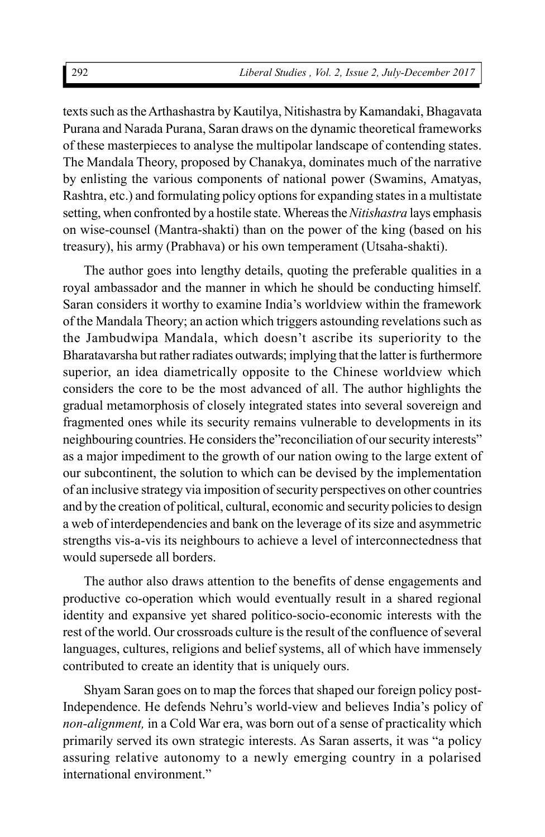texts such as the Arthashastra by Kautilya, Nitishastra by Kamandaki, Bhagavata Purana and Narada Purana, Saran draws on the dynamic theoretical frameworks of these masterpieces to analyse the multipolar landscape of contending states. The Mandala Theory, proposed by Chanakya, dominates much of the narrative by enlisting the various components of national power (Swamins, Amatyas, Rashtra, etc.) and formulating policy options for expanding states in a multistate setting, when confronted by a hostile state. Whereas the *Nitishastra* lays emphasis on wise-counsel (Mantra-shakti) than on the power of the king (based on his treasury), his army (Prabhava) or his own temperament (Utsaha-shakti).

The author goes into lengthy details, quoting the preferable qualities in a royal ambassador and the manner in which he should be conducting himself. Saran considers it worthy to examine India's worldview within the framework of the Mandala Theory; an action which triggers astounding revelations such as the Jambudwipa Mandala, which doesn't ascribe its superiority to the Bharatavarsha but rather radiates outwards; implying that the latter is furthermore superior, an idea diametrically opposite to the Chinese worldview which considers the core to be the most advanced of all. The author highlights the gradual metamorphosis of closely integrated states into several sovereign and fragmented ones while its security remains vulnerable to developments in its neighbouring countries. He considers the"reconciliation of our security interests" as a major impediment to the growth of our nation owing to the large extent of our subcontinent, the solution to which can be devised by the implementation of an inclusive strategy via imposition of security perspectives on other countries and by the creation of political, cultural, economic and security policies to design a web of interdependencies and bank on the leverage of its size and asymmetric strengths vis-a-vis its neighbours to achieve a level of interconnectedness that would supersede all borders.

The author also draws attention to the benefits of dense engagements and productive co-operation which would eventually result in a shared regional identity and expansive yet shared politico-socio-economic interests with the rest of the world. Our crossroads culture is the result of the confluence of several languages, cultures, religions and belief systems, all of which have immensely contributed to create an identity that is uniquely ours.

Shyam Saran goes on to map the forces that shaped our foreign policy post-Independence. He defends Nehru's world-view and believes India's policy of *non-alignment,* in a Cold War era, was born out of a sense of practicality which primarily served its own strategic interests. As Saran asserts, it was "a policy assuring relative autonomy to a newly emerging country in a polarised international environment."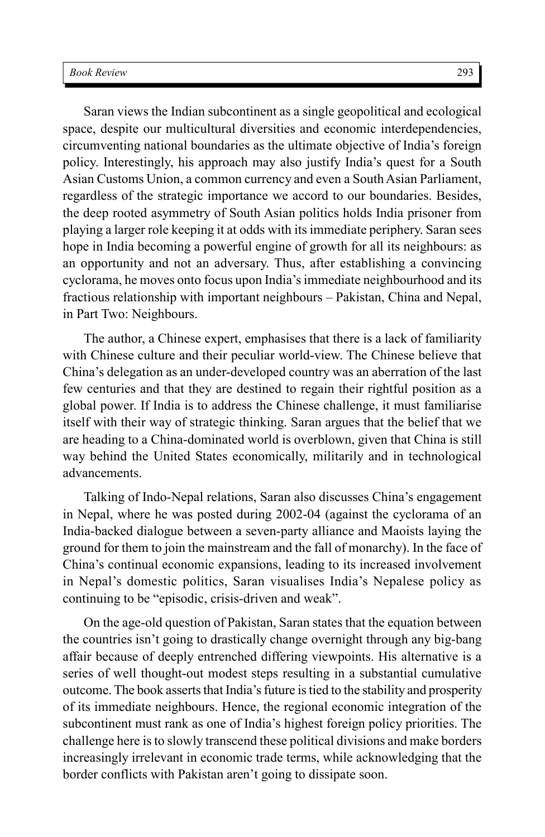Saran views the Indian subcontinent as a single geopolitical and ecological space, despite our multicultural diversities and economic interdependencies, circumventing national boundaries as the ultimate objective of India's foreign policy. Interestingly, his approach may also justify India's quest for a South Asian Customs Union, a common currency and even a South Asian Parliament, regardless of the strategic importance we accord to our boundaries. Besides, the deep rooted asymmetry of South Asian politics holds India prisoner from playing a larger role keeping it at odds with its immediate periphery. Saran sees hope in India becoming a powerful engine of growth for all its neighbours: as an opportunity and not an adversary. Thus, after establishing a convincing cyclorama, he moves onto focus upon India's immediate neighbourhood and its fractious relationship with important neighbours – Pakistan, China and Nepal, in Part Two: Neighbours.

The author, a Chinese expert, emphasises that there is a lack of familiarity with Chinese culture and their peculiar world-view. The Chinese believe that China's delegation as an under-developed country was an aberration of the last few centuries and that they are destined to regain their rightful position as a global power. If India is to address the Chinese challenge, it must familiarise itself with their way of strategic thinking. Saran argues that the belief that we are heading to a China-dominated world is overblown, given that China is still way behind the United States economically, militarily and in technological advancements.

Talking of Indo-Nepal relations, Saran also discusses China's engagement in Nepal, where he was posted during 2002-04 (against the cyclorama of an India-backed dialogue between a seven-party alliance and Maoists laying the ground for them to join the mainstream and the fall of monarchy). In the face of China's continual economic expansions, leading to its increased involvement in Nepal's domestic politics, Saran visualises India's Nepalese policy as continuing to be "episodic, crisis-driven and weak".

On the age-old question of Pakistan, Saran states that the equation between the countries isn't going to drastically change overnight through any big-bang affair because of deeply entrenched differing viewpoints. His alternative is a series of well thought-out modest steps resulting in a substantial cumulative outcome. The book asserts that India's future is tied to the stability and prosperity of its immediate neighbours. Hence, the regional economic integration of the subcontinent must rank as one of India's highest foreign policy priorities. The challenge here is to slowly transcend these political divisions and make borders increasingly irrelevant in economic trade terms, while acknowledging that the border conflicts with Pakistan aren't going to dissipate soon.